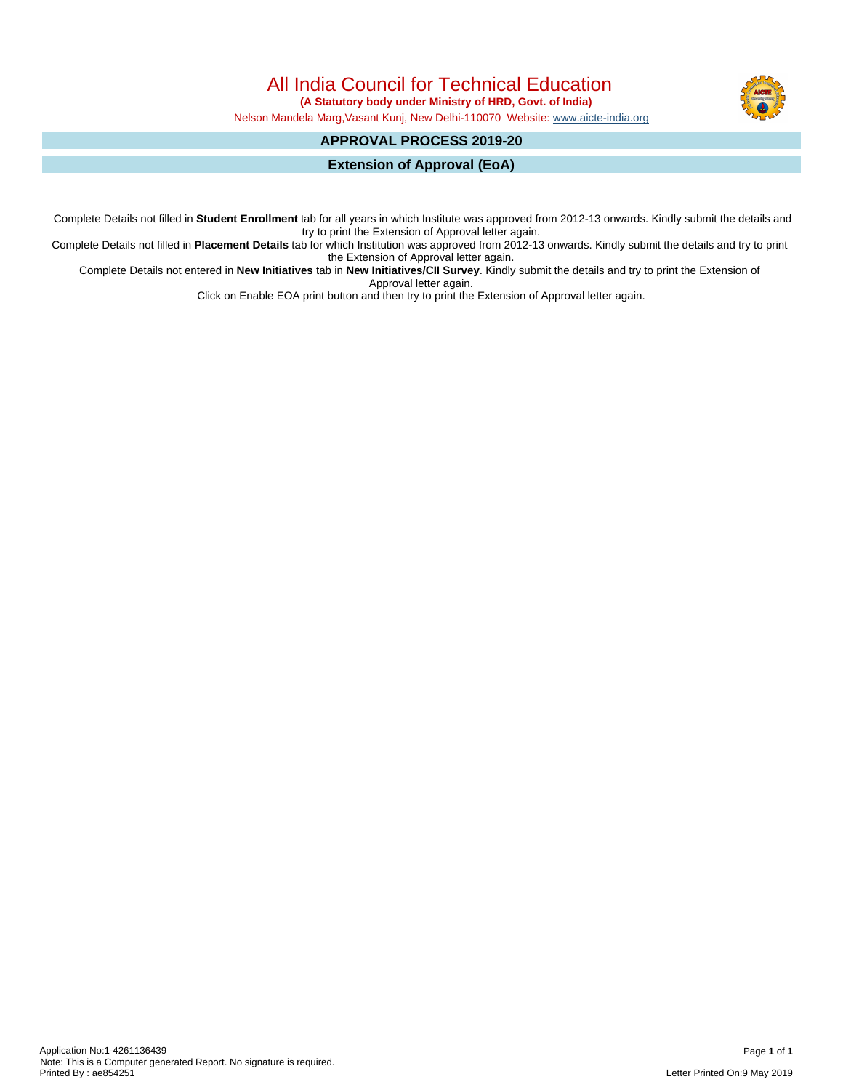All India Council for Technical Education

 **(A Statutory body under Ministry of HRD, Govt. of India)**

Nelson Mandela Marg,Vasant Kunj, New Delhi-110070 Website: [www.aicte-india.org](http://www.aicte-india.org)

# **APPROVAL PROCESS 2019-20**

**Extension of Approval (EoA)**

Complete Details not filled in **Student Enrollment** tab for all years in which Institute was approved from 2012-13 onwards. Kindly submit the details and try to print the Extension of Approval letter again.

Complete Details not filled in **Placement Details** tab for which Institution was approved from 2012-13 onwards. Kindly submit the details and try to print the Extension of Approval letter again.

Complete Details not entered in **New Initiatives** tab in **New Initiatives/CII Survey**. Kindly submit the details and try to print the Extension of Approval letter again.

Click on Enable EOA print button and then try to print the Extension of Approval letter again.

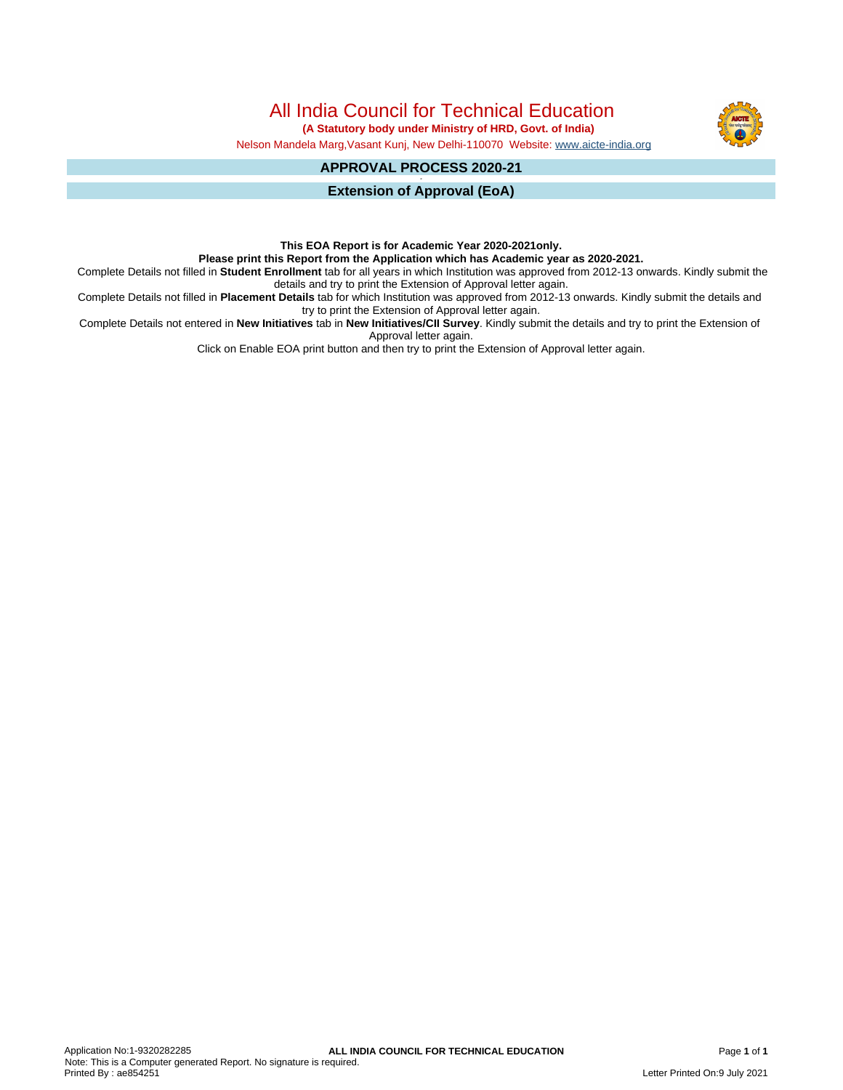All India Council for Technical Education

 **(A Statutory body under Ministry of HRD, Govt. of India)**

Nelson Mandela Marg,Vasant Kunj, New Delhi-110070 Website: [www.aicte-india.org](http://www.aicte-india.org)

#### **APPROVAL PROCESS 2020-21 -**

**Extension of Approval (EoA)**

## **This EOA Report is for Academic Year 2020-2021only.**

**Please print this Report from the Application which has Academic year as 2020-2021.**

Complete Details not filled in **Student Enrollment** tab for all years in which Institution was approved from 2012-13 onwards. Kindly submit the details and try to print the Extension of Approval letter again.

Complete Details not filled in **Placement Details** tab for which Institution was approved from 2012-13 onwards. Kindly submit the details and try to print the Extension of Approval letter again.

Complete Details not entered in **New Initiatives** tab in **New Initiatives/CII Survey**. Kindly submit the details and try to print the Extension of Approval letter again.

Click on Enable EOA print button and then try to print the Extension of Approval letter again.

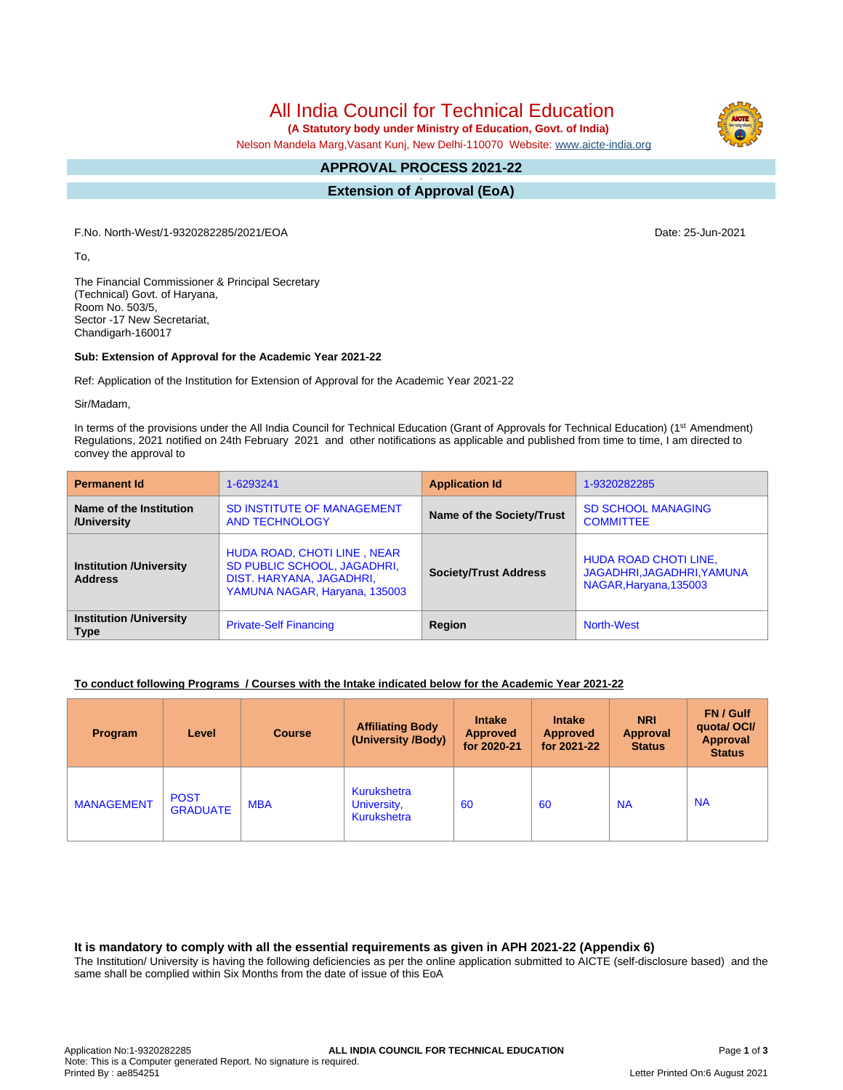All India Council for Technical Education

 **(A Statutory body under Ministry of Education, Govt. of India)**

Nelson Mandela Marg,Vasant Kunj, New Delhi-110070 Website: [www.aicte-india.org](http://www.aicte-india.org)

#### **APPROVAL PROCESS 2021-22 -**

**Extension of Approval (EoA)**

F.No. North-West/1-9320282285/2021/EOA Date: 25-Jun-2021

To,

The Financial Commissioner & Principal Secretary (Technical) Govt. of Haryana, Room No. 503/5, Sector -17 New Secretariat, Chandigarh-160017

### **Sub: Extension of Approval for the Academic Year 2021-22**

Ref: Application of the Institution for Extension of Approval for the Academic Year 2021-22

Sir/Madam,

In terms of the provisions under the All India Council for Technical Education (Grant of Approvals for Technical Education) (1<sup>st</sup> Amendment) Regulations, 2021 notified on 24th February 2021 and other notifications as applicable and published from time to time, I am directed to convey the approval to

| <b>Permanent Id</b>                              | 1-6293241                                                                                                               | <b>Application Id</b>        | 1-9320282285                                                                  |  |
|--------------------------------------------------|-------------------------------------------------------------------------------------------------------------------------|------------------------------|-------------------------------------------------------------------------------|--|
| Name of the Institution<br>/University           | SD INSTITUTE OF MANAGEMENT<br><b>AND TECHNOLOGY</b>                                                                     | Name of the Society/Trust    | <b>SD SCHOOL MANAGING</b><br><b>COMMITTEE</b>                                 |  |
| <b>Institution /University</b><br><b>Address</b> | HUDA ROAD, CHOTI LINE, NEAR<br>SD PUBLIC SCHOOL, JAGADHRI,<br>DIST. HARYANA, JAGADHRI,<br>YAMUNA NAGAR, Haryana, 135003 | <b>Society/Trust Address</b> | HUDA ROAD CHOTI LINE,<br>JAGADHRI, JAGADHRI, YAMUNA<br>NAGAR, Haryana, 135003 |  |
| <b>Institution /University</b><br><b>Type</b>    | <b>Private-Self Financing</b>                                                                                           | Region                       | <b>North-West</b>                                                             |  |

### **To conduct following Programs / Courses with the Intake indicated below for the Academic Year 2021-22**

| <b>Program</b>    | Level                          | <b>Course</b> | <b>Affiliating Body</b><br>(University /Body)           | <b>Intake</b><br><b>Approved</b><br>for 2020-21 | <b>Intake</b><br><b>Approved</b><br>for 2021-22 | <b>NRI</b><br><b>Approval</b><br><b>Status</b> | <b>FN/Gulf</b><br>quotal OCI/<br>Approval<br><b>Status</b> |
|-------------------|--------------------------------|---------------|---------------------------------------------------------|-------------------------------------------------|-------------------------------------------------|------------------------------------------------|------------------------------------------------------------|
| <b>MANAGEMENT</b> | <b>POST</b><br><b>GRADUATE</b> | <b>MBA</b>    | <b>Kurukshetra</b><br>University,<br><b>Kurukshetra</b> | 60                                              | 60                                              | <b>NA</b>                                      | <b>NA</b>                                                  |

### **It is mandatory to comply with all the essential requirements as given in APH 2021-22 (Appendix 6)**

The Institution/ University is having the following deficiencies as per the online application submitted to AICTE (self-disclosure based) and the same shall be complied within Six Months from the date of issue of this EoA

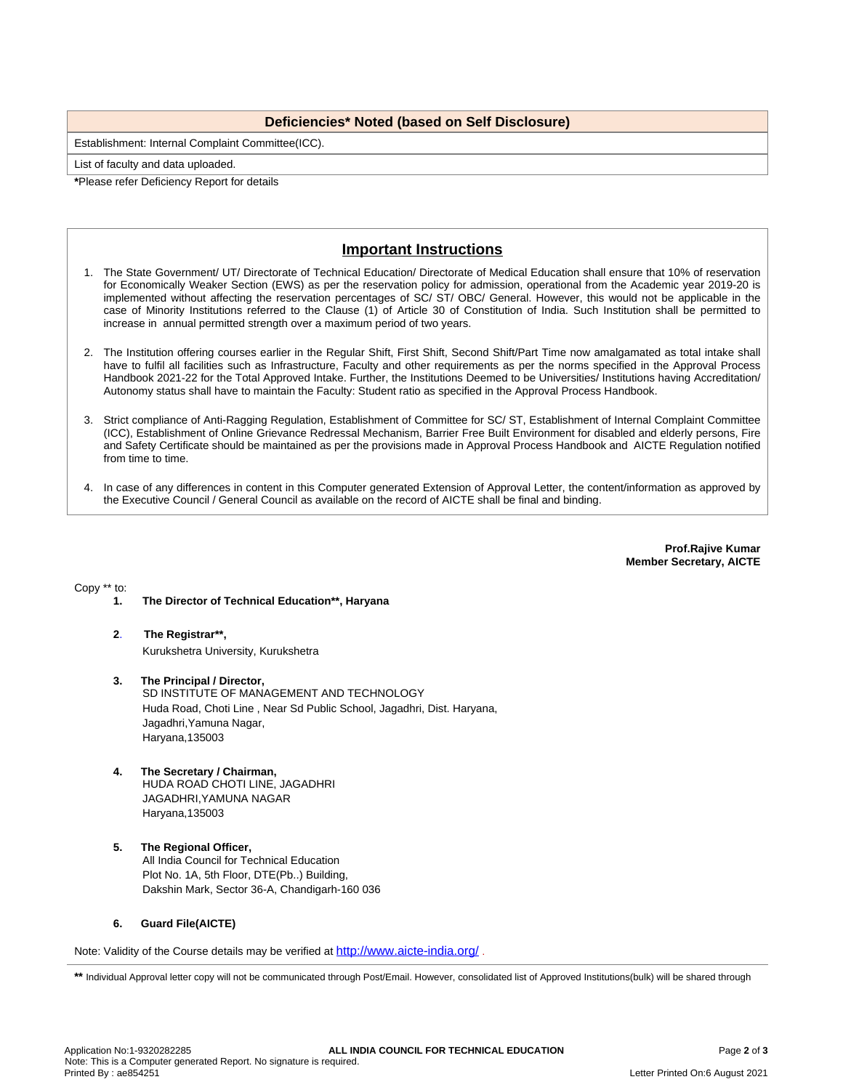## **Deficiencies\* Noted (based on Self Disclosure)**

Establishment: Internal Complaint Committee(ICC).

List of faculty and data uploaded.

**\***Please refer Deficiency Report for details

# **Important Instructions**

- 1. The State Government/ UT/ Directorate of Technical Education/ Directorate of Medical Education shall ensure that 10% of reservation for Economically Weaker Section (EWS) as per the reservation policy for admission, operational from the Academic year 2019-20 is implemented without affecting the reservation percentages of SC/ ST/ OBC/ General. However, this would not be applicable in the case of Minority Institutions referred to the Clause (1) of Article 30 of Constitution of India. Such Institution shall be permitted to increase in annual permitted strength over a maximum period of two years.
- 2. The Institution offering courses earlier in the Regular Shift, First Shift, Second Shift/Part Time now amalgamated as total intake shall have to fulfil all facilities such as Infrastructure, Faculty and other requirements as per the norms specified in the Approval Process Handbook 2021-22 for the Total Approved Intake. Further, the Institutions Deemed to be Universities/ Institutions having Accreditation/ Autonomy status shall have to maintain the Faculty: Student ratio as specified in the Approval Process Handbook.
- 3. Strict compliance of Anti-Ragging Regulation, Establishment of Committee for SC/ ST, Establishment of Internal Complaint Committee (ICC), Establishment of Online Grievance Redressal Mechanism, Barrier Free Built Environment for disabled and elderly persons, Fire and Safety Certificate should be maintained as per the provisions made in Approval Process Handbook and AICTE Regulation notified from time to time.
- 4. In case of any differences in content in this Computer generated Extension of Approval Letter, the content/information as approved by the Executive Council / General Council as available on the record of AICTE shall be final and binding.

**Prof.Rajive Kumar Member Secretary, AICTE**

Copy \*\* to:

- **1. The Director of Technical Education\*\*, Haryana**
- **2**. **The Registrar\*\*,** Kurukshetra University, Kurukshetra
- **3. The Principal / Director,** SD INSTITUTE OF MANAGEMENT AND TECHNOLOGY Huda Road, Choti Line , Near Sd Public School, Jagadhri, Dist. Haryana, Jagadhri,Yamuna Nagar, Haryana,135003
- **4. The Secretary / Chairman,** HUDA ROAD CHOTI LINE, JAGADHRI JAGADHRI,YAMUNA NAGAR Haryana,135003
- **5. The Regional Officer,** All India Council for Technical Education Plot No. 1A, 5th Floor, DTE(Pb..) Building, Dakshin Mark, Sector 36-A, Chandigarh-160 036

### **6. Guard File(AICTE)**

Note: Validity of the Course details may be verified at <http://www.aicte-india.org/> **.**

\*\* Individual Approval letter copy will not be communicated through Post/Email. However, consolidated list of Approved Institutions(bulk) will be shared through